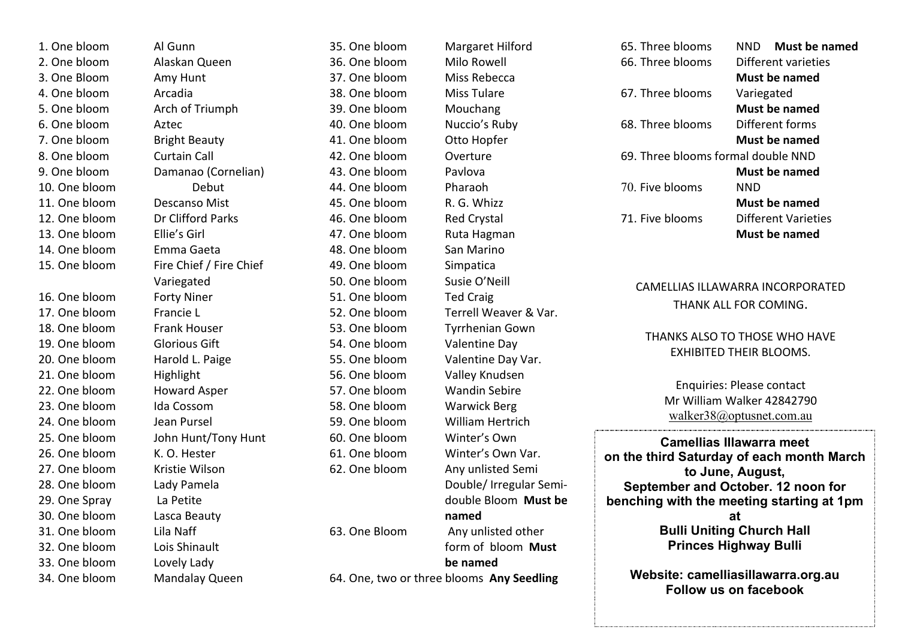1. One bloom Al Gunn 2. One bloom Alaskan Queen 3. One Bloom Amy Hunt 4. One bloom Arcadia 5. One bloom Arch of Triumph 6. One bloom Aztec 7. One bloom Bright Beauty 8. One bloom Curtain Call 10. One bloom Debut 11. One bloom Descanso Mist 12. One bloom Dr Clifford Parks 13. One bloom Ellie's Girl 14. One bloom Emma Gaeta 16. One bloom Forty Niner 17. One bloom Francie L 18. One bloom Frank Houser 19. One bloom Glorious Gift 20. One bloom Harold L. Paige 21. One bloom Highlight 22. One bloom Howard Asper 23. One bloom Ida Cossom 24. One bloom Jean Pursel 26. One bloom K. O. Hester 27. One bloom Kristie Wilson 28. One bloom Lady Pamela 29. One Spray La Petite 30. One bloom Lasca Beauty 31. One bloom Lila Naff 32. One bloom Lois Shinault

33. One bloom Lovely Lady 34. One bloom Mandalay Queen

9. One bloom Damanao (Cornelian) 15. One bloom Fire Chief / Fire Chief Variegated 25. One bloom John Hunt/Tony Hunt

35. One bloom Margaret Hilford 36. One bloom Milo Rowell 37. One bloom Miss Rebecca 38. One bloom Miss Tulare 39. One bloom Mouchang 40. One bloom Nuccio's Ruby 41. One bloom Otto Hopfer 42. One bloom Overture 43. One bloom Pavlova 44. One bloom Pharaoh 45. One bloom R. G. Whizz 46. One bloom Red Crystal 47. One bloom Ruta Hagman 48. One bloom San Marino 49. One bloom Simpatica 50. One bloom Susie O'Neill 51. One bloom Ted Craig 52. One bloom Terrell Weaver & Var. 53. One bloom Tyrrhenian Gown 54. One bloom Valentine Day 55. One bloom Valentine Day Var. 56. One bloom Valley Knudsen 57. One bloom Wandin Sebire 58. One bloom Warwick Berg 59. One bloom William Hertrich 60. One bloom Winter's Own 61. One bloom Winter's Own Var. 62. One bloom Any unlisted Semi 63. One Bloom Any unlisted other

Double/ Irregular Semidouble Bloom **Must be named** form of bloom **Must be named** 64. One, two or three blooms **Any Seedling**

65. Three blooms NND **Must be named** 66. Three blooms Different varieties **Must be named** 67. Three blooms Variegated **Must be named** 68. Three blooms Different forms **Must be named** 69. Three blooms formal double NND **Must be named** 70. Five blooms NND **Must be named** 71. Five blooms Different Varieties **Must be named**

### CAMELLIAS ILLAWARRA INCORPORATED THANK ALL FOR COMING.

### THANKS ALSO TO THOSE WHO HAVE EXHIBITED THEIR BLOOMS.

Enquiries: Please contact Mr William Walker 42842790 [walker38@optusnet.com.au](mailto:Cam.illawarra@gmail.com)

**Camellias Illawarra meet on the third Saturday of each month March to June, August, September and October. 12 noon for benching with the meeting starting at 1pm at Bulli Uniting Church Hall Princes Highway Bulli**

**Website: camelliasillawarra.org.au Follow us on facebook**